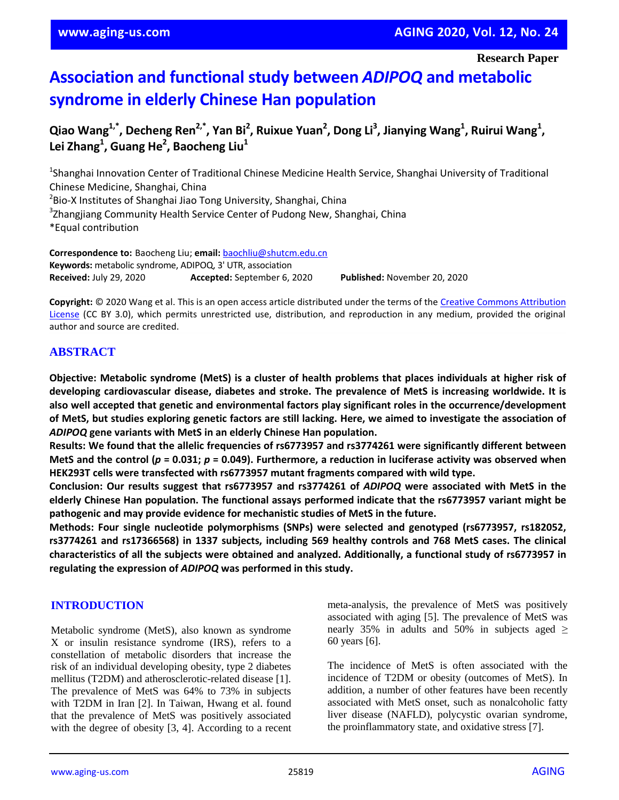**Research Paper**

# **Association and functional study between** *ADIPOQ* **and metabolic syndrome in elderly Chinese Han population**

 $Q$ iao Wang<sup>1,\*</sup>, Decheng Ren<sup>2,\*</sup>, Yan Bi<sup>2</sup>, Ruixue Yuan<sup>2</sup>, Dong Li<sup>3</sup>, Jianying Wang<sup>1</sup>, Ruirui Wang<sup>1</sup>, **Lei Zhang<sup>1</sup> , Guang He<sup>2</sup> , Baocheng Liu<sup>1</sup>**

<sup>1</sup>Shanghai Innovation Center of Traditional Chinese Medicine Health Service, Shanghai University of Traditional Chinese Medicine, Shanghai, China <sup>2</sup>Bio-X Institutes of Shanghai Jiao Tong University, Shanghai, China <sup>3</sup>Zhangjiang Community Health Service Center of Pudong New, Shanghai, China \*Equal contribution

**Correspondence to:** Baocheng Liu; **email:** baochliu@shutcm.edu.cn **Keywords:** metabolic syndrome, ADIPOQ, 3' UTR, association **Received:** July 29, 2020 **Accepted:** September 6, 2020 **Published:** November 20, 2020

**Copyright:** © 2020 Wang et al. This is an open access article distributed under the terms of the Creative Commons Attribution License (CC BY 3.0), which permits unrestricted use, distribution, and reproduction in any medium, provided the original author and source are credited.

## **ABSTRACT**

Objective: Metabolic syndrome (MetS) is a cluster of health problems that places individuals at higher risk of **developing cardiovascular disease, diabetes and stroke. The prevalence of MetS is increasing worldwide. It is also well accepted that genetic and environmental factors play significant roles in the occurrence/development** of MetS, but studies exploring genetic factors are still lacking. Here, we aimed to investigate the association of *ADIPOQ* **gene variants with MetS in an elderly Chinese Han population.**

**Results: We found that the allelic frequencies of rs6773957 and rs3774261 were significantly different between** MetS and the control ( $p = 0.031$ ;  $p = 0.049$ ). Furthermore, a reduction in luciferase activity was observed when **HEK293T cells were transfected with rs6773957 mutant fragments compared with wild type.**

**Conclusion: Our results suggest that rs6773957 and rs3774261 of** *ADIPOQ* **were associated with MetS in the elderly Chinese Han population. The functional assays performed indicate that the rs6773957 variant might be pathogenic and may provide evidence for mechanistic studies of MetS in the future.**

**Methods: Four single nucleotide polymorphisms (SNPs) were selected and genotyped (rs6773957, rs182052, rs3774261 and rs17366568) in 1337 subjects, including 569 healthy controls and 768 MetS cases. The clinical characteristics of all the subjects were obtained and analyzed. Additionally, a functional study of rs6773957 in regulating the expression of** *ADIPOQ* **was performed in this study.**

## **INTRODUCTION**

Metabolic syndrome (MetS), also known as syndrome X or insulin resistance syndrome (IRS), refers to a constellation of metabolic disorders that increase the risk of an individual developing obesity, type 2 diabetes mellitus (T2DM) and atherosclerotic-related disease [1]. The prevalence of MetS was 64% to 73% in subjects with T2DM in Iran [2]. In Taiwan, Hwang et al. found that the prevalence of MetS was positively associated with the degree of obesity [3, 4]. According to a recent meta-analysis, the prevalence of MetS was positively associated with aging [5]. The prevalence of MetS was nearly 35% in adults and 50% in subjects aged  $\ge$ 60 years [6].

The incidence of MetS is often associated with the incidence of T2DM or obesity (outcomes of MetS). In addition, a number of other features have been recently associated with MetS onset, such as nonalcoholic fatty liver disease (NAFLD), polycystic ovarian syndrome, the proinflammatory state, and oxidative stress [7].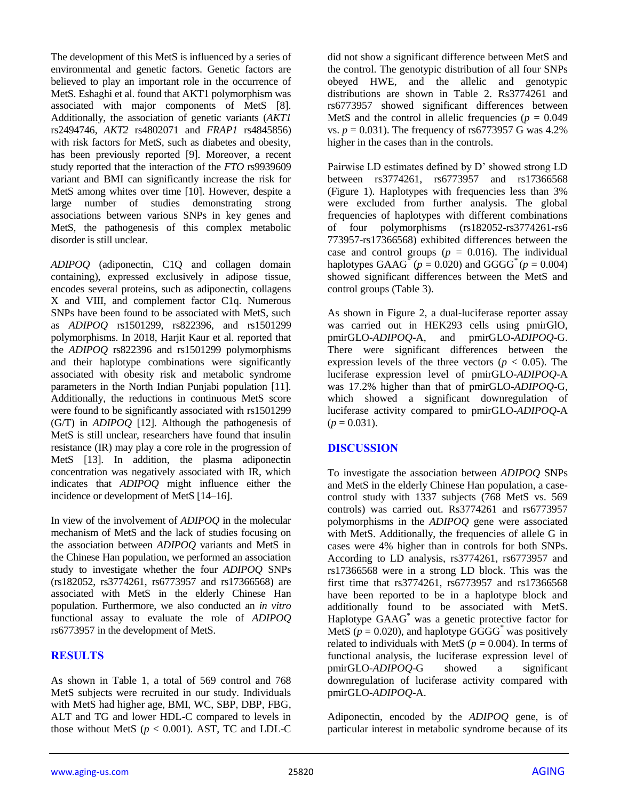The development of this MetS is influenced by a series of environmental and genetic factors. Genetic factors are believed to play an important role in the occurrence of MetS. Eshaghi et al. found that AKT1 polymorphism was associated with major components of MetS [8]. Additionally, the association of genetic variants (*AKT1*  rs2494746, *AKT2* rs4802071 and *FRAP1* rs4845856) with risk factors for MetS, such as diabetes and obesity, has been previously reported [9]. Moreover, a recent study reported that the interaction of the *FTO* rs9939609 variant and BMI can significantly increase the risk for MetS among whites over time [10]. However, despite a large number of studies demonstrating strong associations between various SNPs in key genes and MetS, the pathogenesis of this complex metabolic disorder is still unclear.

*ADIPOQ* (adiponectin, C1Q and collagen domain containing), expressed exclusively in adipose tissue, encodes several proteins, such as adiponectin, collagens X and VIII, and complement factor C1q. Numerous SNPs have been found to be associated with MetS, such as *ADIPOQ* rs1501299, rs822396, and rs1501299 polymorphisms. In 2018, Harjit Kaur et al. reported that the *ADIPOQ* rs822396 and rs1501299 polymorphisms and their haplotype combinations were significantly associated with obesity risk and metabolic syndrome parameters in the North Indian Punjabi population [11]. Additionally, the reductions in continuous MetS score were found to be significantly associated with rs1501299 (G/T) in *ADIPOQ* [12]. Although the pathogenesis of MetS is still unclear, researchers have found that insulin resistance (IR) may play a core role in the progression of MetS [13]. In addition, the plasma adiponectin concentration was negatively associated with IR, which indicates that *ADIPOQ* might influence either the incidence or development of MetS [14–16].

In view of the involvement of *ADIPOQ* in the molecular mechanism of MetS and the lack of studies focusing on the association between *ADIPOQ* variants and MetS in the Chinese Han population, we performed an association study to investigate whether the four *ADIPOQ* SNPs (rs182052, rs3774261, rs6773957 and rs17366568) are associated with MetS in the elderly Chinese Han population. Furthermore, we also conducted an *in vitro* functional assay to evaluate the role of *ADIPOQ* rs6773957 in the development of MetS.

## **RESULTS**

As shown in Table 1, a total of 569 control and 768 MetS subjects were recruited in our study. Individuals with MetS had higher age, BMI, WC, SBP, DBP, FBG, ALT and TG and lower HDL-C compared to levels in those without MetS  $(p < 0.001)$ . AST, TC and LDL-C did not show a significant difference between MetS and the control. The genotypic distribution of all four SNPs obeyed HWE, and the allelic and genotypic distributions are shown in Table 2. Rs3774261 and rs6773957 showed significant differences between MetS and the control in allelic frequencies ( $p = 0.049$ ) vs.  $p = 0.031$ ). The frequency of rs6773957 G was 4.2% higher in the cases than in the controls.

Pairwise LD estimates defined by D' showed strong LD between rs3774261, rs6773957 and rs17366568 (Figure 1). Haplotypes with frequencies less than 3% were excluded from further analysis. The global frequencies of haplotypes with different combinations of four polymorphisms (rs182052-rs3774261-rs6 773957-rs17366568) exhibited differences between the case and control groups ( $p = 0.016$ ). The individual haplotypes  $GAAG^*(p = 0.020)$  and  $GGGG^*(p = 0.004)$ showed significant differences between the MetS and control groups (Table 3).

As shown in Figure 2, a dual-luciferase reporter assay was carried out in HEK293 cells using pmirGlO, pmirGLO-*ADIPOQ*-A, and pmirGLO-*ADIPOQ*-G. There were significant differences between the expression levels of the three vectors ( $p < 0.05$ ). The luciferase expression level of pmirGLO-*ADIPOQ*-A was 17.2% higher than that of pmirGLO-*ADIPOQ*-G, which showed a significant downregulation of luciferase activity compared to pmirGLO-*ADIPOQ*-A  $(p = 0.031)$ .

## **DISCUSSION**

To investigate the association between *ADIPOQ* SNPs and MetS in the elderly Chinese Han population, a casecontrol study with 1337 subjects (768 MetS vs. 569 controls) was carried out. Rs3774261 and rs6773957 polymorphisms in the *ADIPOQ* gene were associated with MetS. Additionally, the frequencies of allele G in cases were 4% higher than in controls for both SNPs. According to LD analysis, rs3774261, rs6773957 and rs17366568 were in a strong LD block. This was the first time that rs3774261, rs6773957 and rs17366568 have been reported to be in a haplotype block and additionally found to be associated with MetS. Haplotype GAAG\* was a genetic protective factor for MetS ( $p = 0.020$ ), and haplotype GGGG<sup>\*</sup> was positively related to individuals with MetS ( $p = 0.004$ ). In terms of functional analysis, the luciferase expression level of pmirGLO-*ADIPOQ*-G showed a significant downregulation of luciferase activity compared with pmirGLO-*ADIPOQ*-A.

Adiponectin, encoded by the *ADIPOQ* gene, is of particular interest in metabolic syndrome because of its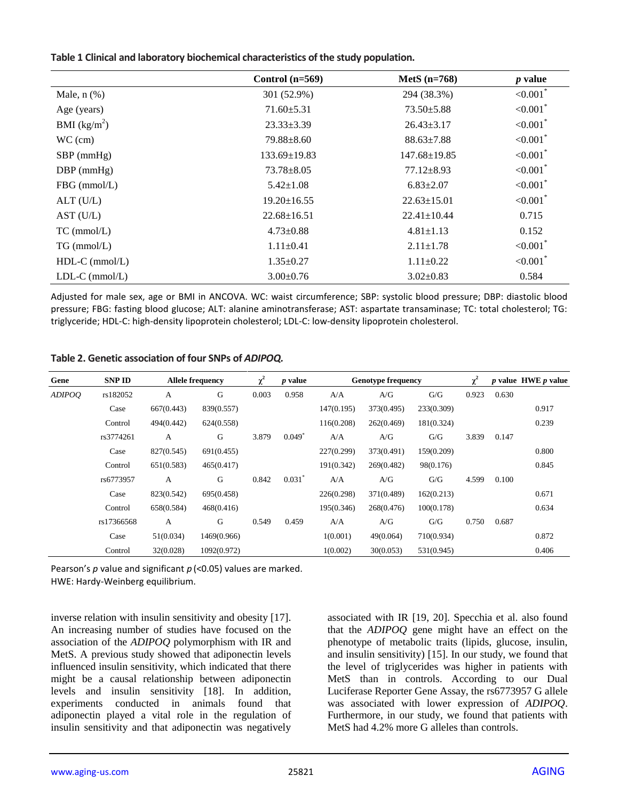#### **Table 1 Clinical and laboratory biochemical characteristics of the study population.**

|                  | Control $(n=569)$  | MetS $(n=768)$     | $p$ value               |
|------------------|--------------------|--------------------|-------------------------|
| Male, $n$ $(\%)$ | 301 (52.9%)        | 294 (38.3%)        | ${<}0.001$ <sup>*</sup> |
| Age (years)      | $71.60 \pm 5.31$   | $73.50 \pm 5.88$   | ${<}0.001$ <sup>*</sup> |
| BMI $(kg/m^2)$   | $23.33 \pm 3.39$   | $26.43 \pm 3.17$   | ${<}0.001$ <sup>*</sup> |
| $WC$ (cm)        | $79.88 \pm 8.60$   | $88.63 \pm 7.88$   | ${<}0.001$ <sup>*</sup> |
| $SBP$ (mmHg)     | $133.69 \pm 19.83$ | $147.68 \pm 19.85$ | ${<}0.001$ <sup>*</sup> |
| $DBP$ (mmHg)     | $73.78 \pm 8.05$   | $77.12 \pm 8.93$   | ${<}0.001$ <sup>*</sup> |
| FBG (mmol/L)     | $5.42 \pm 1.08$    | $6.83 \pm 2.07$    | ${<}0.001$ <sup>*</sup> |
| $ALT$ (U/L)      | $19.20 \pm 16.55$  | $22.63 \pm 15.01$  | ${<}0.001$ <sup>*</sup> |
| AST (U/L)        | $22.68 \pm 16.51$  | $22.41 \pm 10.44$  | 0.715                   |
| $TC$ (mmol/L)    | $4.73 \pm 0.88$    | $4.81 \pm 1.13$    | 0.152                   |
| $TG$ (mmol/L)    | $1.11 \pm 0.41$    | $2.11 \pm 1.78$    | ${<}0.001$ <sup>*</sup> |
| $HDL-C$ (mmol/L) | $1.35 \pm 0.27$    | $1.11 \pm 0.22$    | ${<}0.001$ <sup>*</sup> |
| $LDL-C$ (mmol/L) | $3.00 \pm 0.76$    | $3.02 \pm 0.83$    | 0.584                   |

Adjusted for male sex, age or BMI in ANCOVA. WC: waist circumference; SBP: systolic blood pressure; DBP: diastolic blood pressure; FBG: fasting blood glucose; ALT: alanine aminotransferase; AST: aspartate transaminase; TC: total cholesterol; TG: triglyceride; HDL-C: high-density lipoprotein cholesterol; LDL-C: low-density lipoprotein cholesterol.

**Table 2. Genetic association of four SNPs of** *ADIPOQ.*

| Gene          | <b>SNP ID</b> |            | <b>Allele frequency</b> | $\chi^2$ | <i>p</i> value       |            | <b>Genotype frequency</b> |            | $\gamma^2$ |       | $p$ value HWE $p$ value |
|---------------|---------------|------------|-------------------------|----------|----------------------|------------|---------------------------|------------|------------|-------|-------------------------|
| <b>ADIPOO</b> | rs182052      | А          | G                       | 0.003    | 0.958                | A/A        | A/G                       | G/G        | 0.923      | 0.630 |                         |
|               | Case          | 667(0.443) | 839(0.557)              |          |                      | 147(0.195) | 373(0.495)                | 233(0.309) |            |       | 0.917                   |
|               | Control       | 494(0.442) | 624(0.558)              |          |                      | 116(0.208) | 262(0.469)                | 181(0.324) |            |       | 0.239                   |
|               | rs3774261     | A          | G                       | 3.879    | $0.049$ <sup>*</sup> | A/A        | A/G                       | G/G        | 3.839      | 0.147 |                         |
|               | Case          | 827(0.545) | 691(0.455)              |          |                      | 227(0.299) | 373(0.491)                | 159(0.209) |            |       | 0.800                   |
|               | Control       | 651(0.583) | 465(0.417)              |          |                      | 191(0.342) | 269(0.482)                | 98(0.176)  |            |       | 0.845                   |
|               | rs6773957     | A          | G                       | 0.842    | $0.031$ <sup>*</sup> | A/A        | A/G                       | G/G        | 4.599      | 0.100 |                         |
|               | Case          | 823(0.542) | 695(0.458)              |          |                      | 226(0.298) | 371(0.489)                | 162(0.213) |            |       | 0.671                   |
|               | Control       | 658(0.584) | 468(0.416)              |          |                      | 195(0.346) | 268(0.476)                | 100(0.178) |            |       | 0.634                   |
|               | rs17366568    | A          | G                       | 0.549    | 0.459                | A/A        | A/G                       | G/G        | 0.750      | 0.687 |                         |
|               | Case          | 51(0.034)  | 1469(0.966)             |          |                      | 1(0.001)   | 49(0.064)                 | 710(0.934) |            |       | 0.872                   |
|               | Control       | 32(0.028)  | 1092(0.972)             |          |                      | 1(0.002)   | 30(0.053)                 | 531(0.945) |            |       | 0.406                   |

Pearson's *p* value and significant *p* (<0.05) values are marked. HWE: Hardy-Weinberg equilibrium.

inverse relation with insulin sensitivity and obesity [17]. An increasing number of studies have focused on the association of the *ADIPOQ* polymorphism with IR and MetS. A previous study showed that adiponectin levels influenced insulin sensitivity, which indicated that there might be a causal relationship between adiponectin levels and insulin sensitivity [18]. In addition, experiments conducted in animals found that adiponectin played a vital role in the regulation of insulin sensitivity and that adiponectin was negatively associated with IR [19, 20]. Specchia et al. also found that the *ADIPOQ* gene might have an effect on the phenotype of metabolic traits (lipids, glucose, insulin, and insulin sensitivity) [15]. In our study, we found that the level of triglycerides was higher in patients with MetS than in controls. According to our Dual Luciferase Reporter Gene Assay, the rs6773957 G allele was associated with lower expression of *ADIPOQ*. Furthermore, in our study, we found that patients with MetS had 4.2% more G alleles than controls.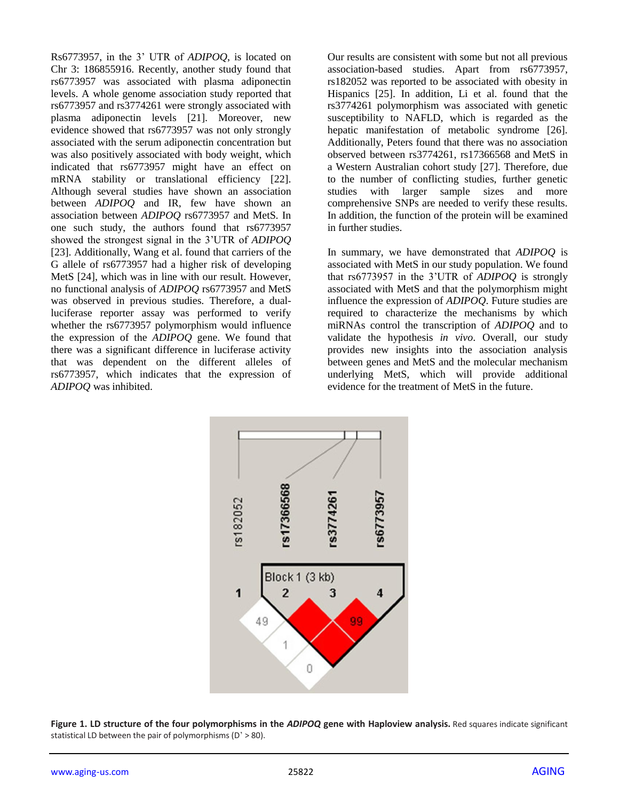Rs6773957, in the 3' UTR of *ADIPOQ*, is located on Chr 3: 186855916. Recently, another study found that rs6773957 was associated with plasma adiponectin levels. A whole genome association study reported that rs6773957 and rs3774261 were strongly associated with plasma adiponectin levels [21]. Moreover, new evidence showed that rs6773957 was not only strongly associated with the serum adiponectin concentration but was also positively associated with body weight, which indicated that rs6773957 might have an effect on mRNA stability or translational efficiency [22]. Although several studies have shown an association between *ADIPOQ* and IR, few have shown an association between *ADIPOQ* rs6773957 and MetS. In one such study, the authors found that rs6773957 showed the strongest signal in the 3'UTR of *ADIPOQ* [23]. Additionally, Wang et al. found that carriers of the G allele of rs6773957 had a higher risk of developing MetS [24], which was in line with our result. However, no functional analysis of *ADIPOQ* rs6773957 and MetS was observed in previous studies. Therefore, a dualluciferase reporter assay was performed to verify whether the rs6773957 polymorphism would influence the expression of the *ADIPOQ* gene. We found that there was a significant difference in luciferase activity that was dependent on the different alleles of rs6773957, which indicates that the expression of *ADIPOQ* was inhibited.

Our results are consistent with some but not all previous association-based studies. Apart from rs6773957, rs182052 was reported to be associated with obesity in Hispanics [25]. In addition, Li et al. found that the rs3774261 polymorphism was associated with genetic susceptibility to NAFLD, which is regarded as the hepatic manifestation of metabolic syndrome [26]. Additionally, Peters found that there was no association observed between rs3774261, rs17366568 and MetS in a Western Australian cohort study [27]. Therefore, due to the number of conflicting studies, further genetic studies with larger sample sizes and more comprehensive SNPs are needed to verify these results. In addition, the function of the protein will be examined in further studies.

In summary, we have demonstrated that *ADIPOQ* is associated with MetS in our study population. We found that rs6773957 in the 3'UTR of *ADIPOQ* is strongly associated with MetS and that the polymorphism might influence the expression of *ADIPOQ*. Future studies are required to characterize the mechanisms by which miRNAs control the transcription of *ADIPOQ* and to validate the hypothesis *in vivo*. Overall, our study provides new insights into the association analysis between genes and MetS and the molecular mechanism underlying MetS, which will provide additional evidence for the treatment of MetS in the future.



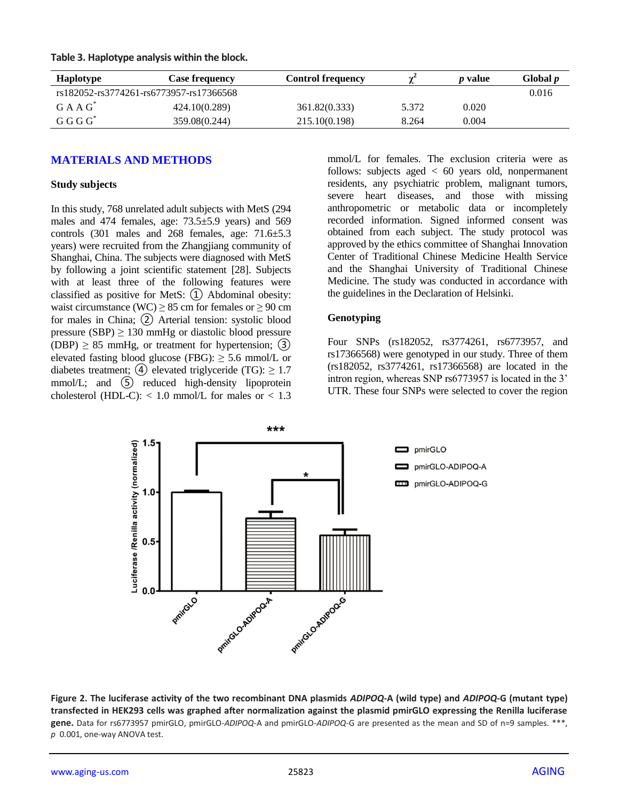| <b>Haplotype</b> | <b>Case frequencv</b>                   | <b>Control frequency</b> |       | <i>p</i> value | Global <i>p</i> |
|------------------|-----------------------------------------|--------------------------|-------|----------------|-----------------|
|                  | rs182052-rs3774261-rs6773957-rs17366568 |                          |       |                | 0.016           |
| $G A A G^*$      | 424.10(0.289)                           | 361.82(0.333)            | 5.372 | 0.020          |                 |
| $G G G^*$        | 359.08(0.244)                           | 215.10(0.198)            | 8.264 | 0.004          |                 |

**Table 3. Haplotype analysis within the block.**

## **MATERIALS AND METHODS**

#### **Study subjects**

In this study, 768 unrelated adult subjects with MetS (294 males and 474 females, age: 73.5±5.9 years) and 569 controls (301 males and 268 females, age: 71.6±5.3 years) were recruited from the Zhangjiang community of Shanghai, China. The subjects were diagnosed with MetS by following a joint scientific statement [28]. Subjects with at least three of the following features were classified as positive for MetS: ① Abdominal obesity: waist circumstance (WC)  $\geq$  85 cm for females or  $\geq$  90 cm for males in China; ② Arterial tension: systolic blood pressure (SBP)  $\geq$  130 mmHg or diastolic blood pressure (DBP)  $\geq$  85 mmHg, or treatment for hypertension; (3) elevated fasting blood glucose (FBG):  $\geq$  5.6 mmol/L or diabetes treatment; (4) elevated triglyceride (TG):  $\geq 1.7$ mmol/L; and  $(5)$  reduced high-density lipoprotein cholesterol (HDL-C):  $< 1.0$  mmol/L for males or  $< 1.3$ 

mmol/L for females. The exclusion criteria were as follows: subjects aged < 60 years old, nonpermanent residents, any psychiatric problem, malignant tumors, severe heart diseases, and those with missing anthropometric or metabolic data or incompletely recorded information. Signed informed consent was obtained from each subject. The study protocol was approved by the ethics committee of Shanghai Innovation Center of Traditional Chinese Medicine Health Service and the Shanghai University of Traditional Chinese Medicine. The study was conducted in accordance with the guidelines in the Declaration of Helsinki.

#### **Genotyping**

Four SNPs (rs182052, rs3774261, rs6773957, and rs17366568) were genotyped in our study. Three of them (rs182052, rs3774261, rs17366568) are located in the intron region, whereas SNP rs6773957 is located in the 3' UTR. These four SNPs were selected to cover the region



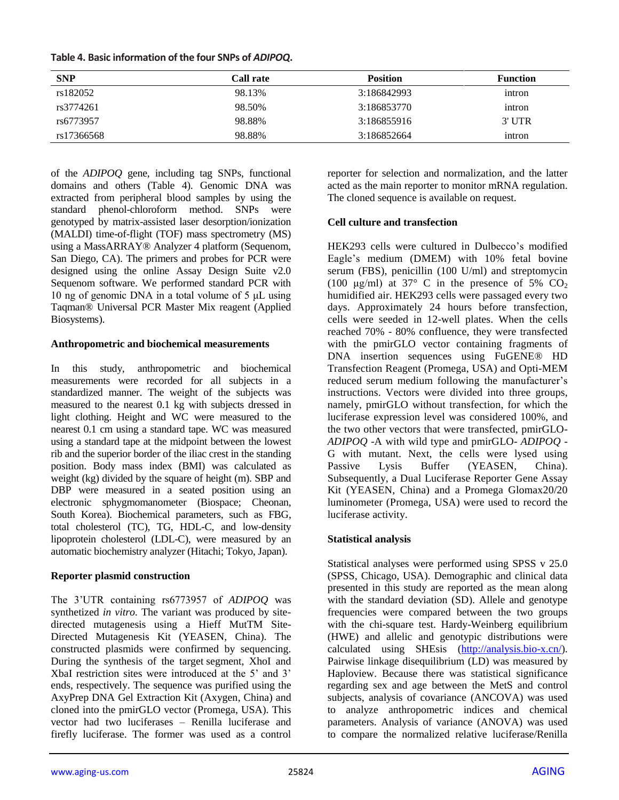| Table 4. Basic information of the four SNPs of ADIPOQ. |  |  |
|--------------------------------------------------------|--|--|
|--------------------------------------------------------|--|--|

| <b>SNP</b> | Call rate | <b>Position</b> | <b>Function</b> |
|------------|-----------|-----------------|-----------------|
| rs182052   | 98.13%    | 3:186842993     | intron          |
| rs3774261  | 98.50%    | 3:186853770     | intron          |
| rs6773957  | 98.88%    | 3:186855916     | $3'$ UTR        |
| rs17366568 | 98.88%    | 3:186852664     | intron          |

of the *ADIPOQ* gene, including tag SNPs, functional domains and others (Table 4). Genomic DNA was extracted from peripheral blood samples by using the standard phenol-chloroform method. SNPs were genotyped by matrix-assisted laser desorption/ionization (MALDI) time-of-flight (TOF) mass spectrometry (MS) using a MassARRAY® Analyzer 4 platform (Sequenom, San Diego, CA). The primers and probes for PCR were designed using the online Assay Design Suite v2.0 Sequenom software. We performed standard PCR with 10 ng of genomic DNA in a total volume of 5 μL using Taqman® Universal PCR Master Mix reagent (Applied Biosystems).

#### **Anthropometric and biochemical measurements**

In this study, anthropometric and biochemical measurements were recorded for all subjects in a standardized manner. The weight of the subjects was measured to the nearest 0.1 kg with subjects dressed in light clothing. Height and WC were measured to the nearest 0.1 cm using a standard tape. WC was measured using a standard tape at the midpoint between the lowest rib and the superior border of the iliac crest in the standing position. Body mass index (BMI) was calculated as weight (kg) divided by the square of height (m). SBP and DBP were measured in a seated position using an electronic sphygmomanometer (Biospace; Cheonan, South Korea). Biochemical parameters, such as FBG, total cholesterol (TC), TG, HDL-C, and low-density lipoprotein cholesterol (LDL-C), were measured by an automatic biochemistry analyzer (Hitachi; Tokyo, Japan).

## **Reporter plasmid construction**

The 3'UTR containing rs6773957 of *ADIPOQ* was synthetized *in vitro*. The variant was produced by sitedirected mutagenesis using a Hieff MutTM Site-Directed Mutagenesis Kit (YEASEN, China). The constructed plasmids were confirmed by sequencing. During the synthesis of the target segment, XhoI and XbaI restriction sites were introduced at the 5' and 3' ends, respectively. The sequence was purified using the AxyPrep DNA Gel Extraction Kit (Axygen, China) and cloned into the pmirGLO vector (Promega, USA). This vector had two luciferases – Renilla luciferase and firefly luciferase. The former was used as a control reporter for selection and normalization, and the latter acted as the main reporter to monitor mRNA regulation. The cloned sequence is available on request.

## **Cell culture and transfection**

HEK293 cells were cultured in Dulbecco's modified Eagle's medium (DMEM) with 10% fetal bovine serum (FBS), penicillin (100 U/ml) and streptomycin (100 μg/ml) at 37° C in the presence of 5%  $CO<sub>2</sub>$ humidified air. HEK293 cells were passaged every two days. Approximately 24 hours before transfection, cells were seeded in 12-well plates. When the cells reached 70% - 80% confluence, they were transfected with the pmirGLO vector containing fragments of DNA insertion sequences using FuGENE® HD Transfection Reagent (Promega, USA) and Opti-MEM reduced serum medium following the manufacturer's instructions. Vectors were divided into three groups, namely, pmirGLO without transfection, for which the luciferase expression level was considered 100%, and the two other vectors that were transfected, pmirGLO-*ADIPOQ* -A with wild type and pmirGLO- *ADIPOQ* - G with mutant. Next, the cells were lysed using Passive Lysis Buffer (YEASEN, China). Subsequently, a Dual Luciferase Reporter Gene Assay Kit (YEASEN, China) and a Promega Glomax20/20 luminometer (Promega, USA) were used to record the luciferase activity.

## **Statistical analysis**

Statistical analyses were performed using SPSS v 25.0 (SPSS, Chicago, USA). Demographic and clinical data presented in this study are reported as the mean along with the standard deviation (SD). Allele and genotype frequencies were compared between the two groups with the chi-square test. Hardy-Weinberg equilibrium (HWE) and allelic and genotypic distributions were calculated using SHEsis [\(http://analysis.bio-x.cn/\)](http://analysis.bio-x.cn/). Pairwise linkage disequilibrium (LD) was measured by Haploview. Because there was statistical significance regarding sex and age between the MetS and control subjects, analysis of covariance (ANCOVA) was used to analyze anthropometric indices and chemical parameters. Analysis of variance (ANOVA) was used to compare the normalized relative luciferase/Renilla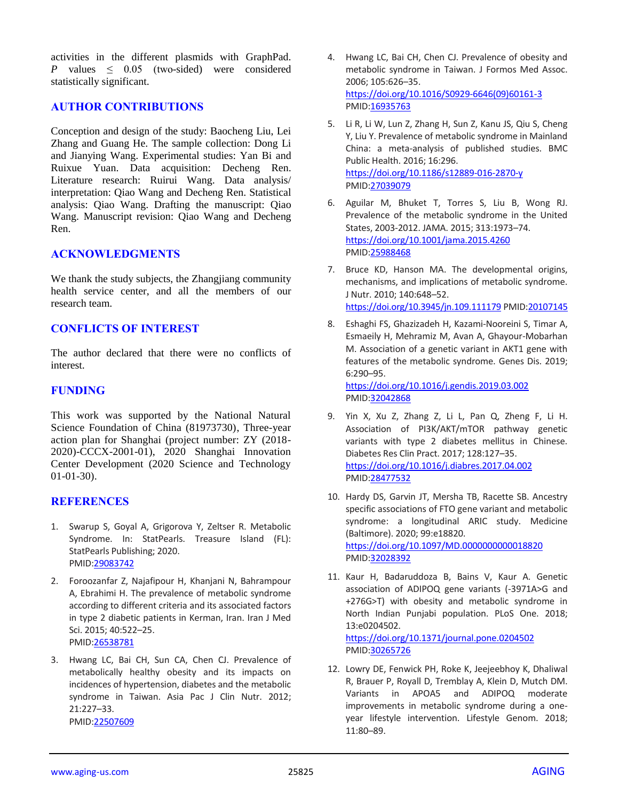activities in the different plasmids with GraphPad. *P* values  $\leq$  0.05 (two-sided) were considered statistically significant.

## **AUTHOR CONTRIBUTIONS**

Conception and design of the study: Baocheng Liu, Lei Zhang and Guang He. The sample collection: Dong Li and Jianying Wang. Experimental studies: Yan Bi and Ruixue Yuan. Data acquisition: Decheng Ren. Literature research: Ruirui Wang. Data analysis/ interpretation: Qiao Wang and Decheng Ren. Statistical analysis: Qiao Wang. Drafting the manuscript: Qiao Wang. Manuscript revision: Qiao Wang and Decheng Ren.

### **ACKNOWLEDGMENTS**

We thank the study subjects, the Zhangjiang community health service center, and all the members of our research team.

### **CONFLICTS OF INTEREST**

The author declared that there were no conflicts of interest.

### **FUNDING**

This work was supported by the National Natural Science Foundation of China (81973730), Three-year action plan for Shanghai (project number: ZY (2018- 2020)-CCCX-2001-01), 2020 Shanghai Innovation Center Development (2020 Science and Technology 01-01-30).

#### **REFERENCES**

- 1. Swarup S, Goyal A, Grigorova Y, Zeltser R. Metabolic Syndrome. In: StatPearls. Treasure Island (FL): StatPearls Publishing; 2020. PMID[:29083742](https://pubmed.ncbi.nlm.nih.gov/29083742)
- 2. Foroozanfar Z, Najafipour H, Khanjani N, Bahrampour A, Ebrahimi H. The prevalence of metabolic syndrome according to different criteria and its associated factors in type 2 diabetic patients in Kerman, Iran. Iran J Med Sci. 2015; 40:522–25. PMID[:26538781](https://pubmed.ncbi.nlm.nih.gov/26538781)
- 3. Hwang LC, Bai CH, Sun CA, Chen CJ. Prevalence of metabolically healthy obesity and its impacts on incidences of hypertension, diabetes and the metabolic syndrome in Taiwan. Asia Pac J Clin Nutr. 2012; 21:227–33. PMID[:22507609](https://pubmed.ncbi.nlm.nih.gov/22507609)
- 4. Hwang LC, Bai CH, Chen CJ. Prevalence of obesity and metabolic syndrome in Taiwan. J Formos Med Assoc. 2006; 105:626–35. [https://doi.org/10.1016/S0929-6646\(09\)60161-3](https://doi.org/10.1016/S0929-6646(09)60161-3) PMI[D:16935763](https://pubmed.ncbi.nlm.nih.gov/16935763)
- 5. Li R, Li W, Lun Z, Zhang H, Sun Z, Kanu JS, Qiu S, Cheng Y, Liu Y. Prevalence of metabolic syndrome in Mainland China: a meta-analysis of published studies. BMC Public Health. 2016; 16:296. <https://doi.org/10.1186/s12889-016-2870-y> PMI[D:27039079](https://pubmed.ncbi.nlm.nih.gov/27039079)
- 6. Aguilar M, Bhuket T, Torres S, Liu B, Wong RJ. Prevalence of the metabolic syndrome in the United States, 2003-2012. JAMA. 2015; 313:1973–74. <https://doi.org/10.1001/jama.2015.4260> PMI[D:25988468](https://pubmed.ncbi.nlm.nih.gov/25988468)
- 7. Bruce KD, Hanson MA. The developmental origins, mechanisms, and implications of metabolic syndrome. J Nutr. 2010; 140:648–52. <https://doi.org/10.3945/jn.109.111179> PMI[D:20107145](https://pubmed.ncbi.nlm.nih.gov/20107145)
- 8. Eshaghi FS, Ghazizadeh H, Kazami-Nooreini S, Timar A, Esmaeily H, Mehramiz M, Avan A, Ghayour-Mobarhan M. Association of a genetic variant in AKT1 gene with features of the metabolic syndrome. Genes Dis. 2019; 6:290–95. <https://doi.org/10.1016/j.gendis.2019.03.002>

PMI[D:32042868](https://pubmed.ncbi.nlm.nih.gov/32042868)

- 9. Yin X, Xu Z, Zhang Z, Li L, Pan Q, Zheng F, Li H. Association of PI3K/AKT/mTOR pathway genetic variants with type 2 diabetes mellitus in Chinese. Diabetes Res Clin Pract. 2017; 128:127–35. <https://doi.org/10.1016/j.diabres.2017.04.002> PMI[D:28477532](https://pubmed.ncbi.nlm.nih.gov/28477532)
- 10. Hardy DS, Garvin JT, Mersha TB, Racette SB. Ancestry specific associations of FTO gene variant and metabolic syndrome: a longitudinal ARIC study. Medicine (Baltimore). 2020; 99:e18820. <https://doi.org/10.1097/MD.0000000000018820> PMI[D:32028392](https://pubmed.ncbi.nlm.nih.gov/32028392)
- 11. Kaur H, Badaruddoza B, Bains V, Kaur A. Genetic association of ADIPOQ gene variants (-3971A>G and +276G>T) with obesity and metabolic syndrome in North Indian Punjabi population. PLoS One. 2018; 13:e0204502. <https://doi.org/10.1371/journal.pone.0204502>

PMI[D:30265726](https://pubmed.ncbi.nlm.nih.gov/30265726)

12. Lowry DE, Fenwick PH, Roke K, Jeejeebhoy K, Dhaliwal R, Brauer P, Royall D, Tremblay A, Klein D, Mutch DM. Variants in APOA5 and ADIPOQ moderate improvements in metabolic syndrome during a oneyear lifestyle intervention. Lifestyle Genom. 2018; 11:80–89.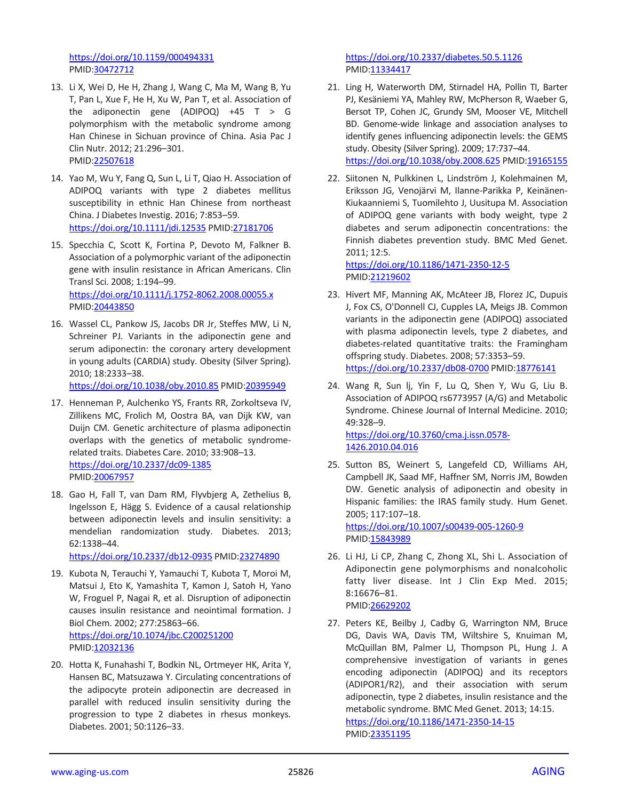<https://doi.org/10.1159/000494331> PMID[:30472712](https://pubmed.ncbi.nlm.nih.gov/30472712)

- 13. Li X, Wei D, He H, Zhang J, Wang C, Ma M, Wang B, Yu T, Pan L, Xue F, He H, Xu W, Pan T, et al. Association of the adiponectin gene (ADIPOQ) +45  $T > G$ polymorphism with the metabolic syndrome among Han Chinese in Sichuan province of China. Asia Pac J Clin Nutr. 2012; 21:296–301. PMID[:22507618](https://pubmed.ncbi.nlm.nih.gov/22507618)
- 14. Yao M, Wu Y, Fang Q, Sun L, Li T, Qiao H. Association of ADIPOQ variants with type 2 diabetes mellitus susceptibility in ethnic Han Chinese from northeast China. J Diabetes Investig. 2016; 7:853–59. <https://doi.org/10.1111/jdi.12535> PMI[D:27181706](https://pubmed.ncbi.nlm.nih.gov/27181706)
- 15. Specchia C, Scott K, Fortina P, Devoto M, Falkner B. Association of a polymorphic variant of the adiponectin gene with insulin resistance in African Americans. Clin Transl Sci. 2008; 1:194–99. <https://doi.org/10.1111/j.1752-8062.2008.00055.x> PMID[:20443850](https://pubmed.ncbi.nlm.nih.gov/20443850)
- 16. Wassel CL, Pankow JS, Jacobs DR Jr, Steffes MW, Li N, Schreiner PJ. Variants in the adiponectin gene and serum adiponectin: the coronary artery development in young adults (CARDIA) study. Obesity (Silver Spring). 2010; 18:2333–38.

<https://doi.org/10.1038/oby.2010.85> PMID[:20395949](https://pubmed.ncbi.nlm.nih.gov/20395949)

- 17. Henneman P, Aulchenko YS, Frants RR, Zorkoltseva IV, Zillikens MC, Frolich M, Oostra BA, van Dijk KW, van Duijn CM. Genetic architecture of plasma adiponectin overlaps with the genetics of metabolic syndromerelated traits. Diabetes Care. 2010; 33:908–13. <https://doi.org/10.2337/dc09-1385> PMID[:20067957](https://pubmed.ncbi.nlm.nih.gov/20067957)
- 18. Gao H, Fall T, van Dam RM, Flyvbjerg A, Zethelius B, Ingelsson E, Hägg S. Evidence of a causal relationship between adiponectin levels and insulin sensitivity: a mendelian randomization study. Diabetes. 2013; 62:1338–44.

<https://doi.org/10.2337/db12-0935> PMID[:23274890](https://pubmed.ncbi.nlm.nih.gov/23274890)

- 19. Kubota N, Terauchi Y, Yamauchi T, Kubota T, Moroi M, Matsui J, Eto K, Yamashita T, Kamon J, Satoh H, Yano W, Froguel P, Nagai R, et al. Disruption of adiponectin causes insulin resistance and neointimal formation. J Biol Chem. 2002; 277:25863–66. <https://doi.org/10.1074/jbc.C200251200> PMID[:12032136](https://pubmed.ncbi.nlm.nih.gov/12032136)
- 20. Hotta K, Funahashi T, Bodkin NL, Ortmeyer HK, Arita Y, Hansen BC, Matsuzawa Y. Circulating concentrations of the adipocyte protein adiponectin are decreased in parallel with reduced insulin sensitivity during the progression to type 2 diabetes in rhesus monkeys. Diabetes. 2001; 50:1126–33.

<https://doi.org/10.2337/diabetes.50.5.1126> PMI[D:11334417](https://pubmed.ncbi.nlm.nih.gov/11334417)

- 21. Ling H, Waterworth DM, Stirnadel HA, Pollin TI, Barter PJ, Kesäniemi YA, Mahley RW, McPherson R, Waeber G, Bersot TP, Cohen JC, Grundy SM, Mooser VE, Mitchell BD. Genome-wide linkage and association analyses to identify genes influencing adiponectin levels: the GEMS study. Obesity (Silver Spring). 2009; 17:737–44. <https://doi.org/10.1038/oby.2008.625> PMI[D:19165155](https://pubmed.ncbi.nlm.nih.gov/19165155)
- 22. Siitonen N, Pulkkinen L, Lindström J, Kolehmainen M, Eriksson JG, Venojärvi M, Ilanne-Parikka P, Keinänen-Kiukaanniemi S, Tuomilehto J, Uusitupa M. Association of ADIPOQ gene variants with body weight, type 2 diabetes and serum adiponectin concentrations: the Finnish diabetes prevention study. BMC Med Genet. 2011; 12:5.

<https://doi.org/10.1186/1471-2350-12-5> PMI[D:21219602](https://pubmed.ncbi.nlm.nih.gov/21219602)

- 23. Hivert MF, Manning AK, McAteer JB, Florez JC, Dupuis J, Fox CS, O'Donnell CJ, Cupples LA, Meigs JB. Common variants in the adiponectin gene (ADIPOQ) associated with plasma adiponectin levels, type 2 diabetes, and diabetes-related quantitative traits: the Framingham offspring study. Diabetes. 2008; 57:3353–59. <https://doi.org/10.2337/db08-0700> PMID[:18776141](https://pubmed.ncbi.nlm.nih.gov/18776141)
- 24. Wang R, Sun lj, Yin F, Lu Q, Shen Y, Wu G, Liu B. Association of ADIPOQ rs6773957 (A/G) and Metabolic Syndrome. Chinese Journal of Internal Medicine. 2010; 49:328–9. [https://doi.org/10.3760/cma.j.issn.0578-](https://doi.org/10.3760/cma.j.issn.0578-1426.2010.04.016) [1426.2010.04.016](https://doi.org/10.3760/cma.j.issn.0578-1426.2010.04.016)
- 25. Sutton BS, Weinert S, Langefeld CD, Williams AH, Campbell JK, Saad MF, Haffner SM, Norris JM, Bowden DW. Genetic analysis of adiponectin and obesity in Hispanic families: the IRAS family study. Hum Genet. 2005; 117:107–18. <https://doi.org/10.1007/s00439-005-1260-9>

PMI[D:15843989](https://pubmed.ncbi.nlm.nih.gov/15843989)

- 26. Li HJ, Li CP, Zhang C, Zhong XL, Shi L. Association of Adiponectin gene polymorphisms and nonalcoholic fatty liver disease. Int J Clin Exp Med. 2015; 8:16676–81. PMI[D:26629202](https://pubmed.ncbi.nlm.nih.gov/26629202)
- 27. Peters KE, Beilby J, Cadby G, Warrington NM, Bruce DG, Davis WA, Davis TM, Wiltshire S, Knuiman M, McQuillan BM, Palmer LJ, Thompson PL, Hung J. A comprehensive investigation of variants in genes encoding adiponectin (ADIPOQ) and its receptors (ADIPOR1/R2), and their association with serum adiponectin, type 2 diabetes, insulin resistance and the metabolic syndrome. BMC Med Genet. 2013; 14:15. <https://doi.org/10.1186/1471-2350-14-15> PMI[D:23351195](https://pubmed.ncbi.nlm.nih.gov/23351195)